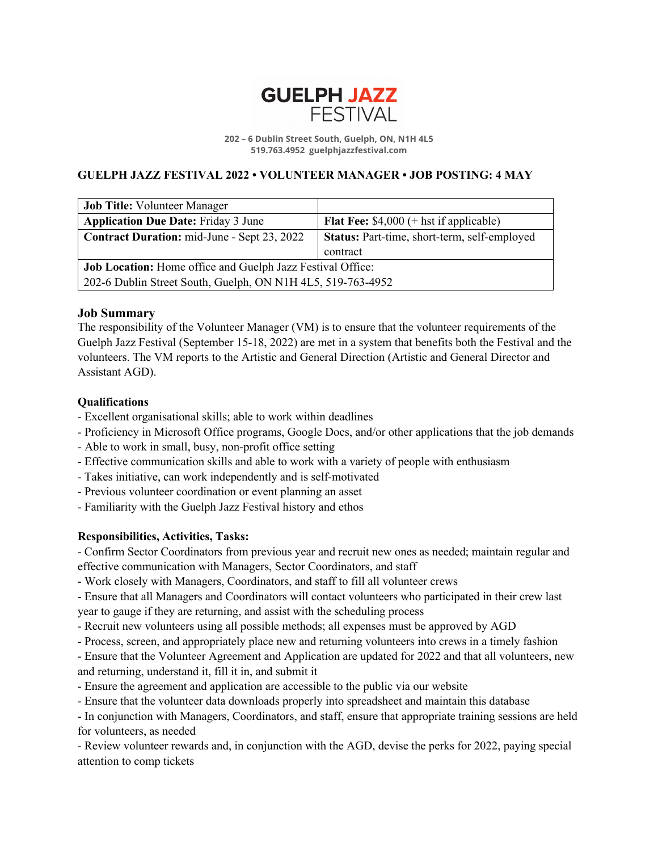

**202 – 6 Dublin Street South, Guelph, ON, N1H 4L5 519.763.4952 guelphjazzfestival.com**

# **GUELPH JAZZ FESTIVAL 2022 • VOLUNTEER MANAGER • JOB POSTING: 4 MAY**

| <b>Job Title: Volunteer Manager</b>                         |                                                 |
|-------------------------------------------------------------|-------------------------------------------------|
| <b>Application Due Date: Friday 3 June</b>                  | <b>Flat Fee:</b> $$4,000$ (+ hst if applicable) |
| Contract Duration: mid-June - Sept 23, 2022                 | Status: Part-time, short-term, self-employed    |
|                                                             | contract                                        |
| Job Location: Home office and Guelph Jazz Festival Office:  |                                                 |
| 202-6 Dublin Street South, Guelph, ON N1H 4L5, 519-763-4952 |                                                 |

## **Job Summary**

The responsibility of the Volunteer Manager (VM) is to ensure that the volunteer requirements of the Guelph Jazz Festival (September 15-18, 2022) are met in a system that benefits both the Festival and the volunteers. The VM reports to the Artistic and General Direction (Artistic and General Director and Assistant AGD).

## **Qualifications**

- Excellent organisational skills; able to work within deadlines
- Proficiency in Microsoft Office programs, Google Docs, and/or other applications that the job demands
- Able to work in small, busy, non-profit office setting
- Effective communication skills and able to work with a variety of people with enthusiasm
- Takes initiative, can work independently and is self-motivated
- Previous volunteer coordination or event planning an asset
- Familiarity with the Guelph Jazz Festival history and ethos

#### **Responsibilities, Activities, Tasks:**

- Confirm Sector Coordinators from previous year and recruit new ones as needed; maintain regular and effective communication with Managers, Sector Coordinators, and staff

- Work closely with Managers, Coordinators, and staff to fill all volunteer crews

- Ensure that all Managers and Coordinators will contact volunteers who participated in their crew last year to gauge if they are returning, and assist with the scheduling process

- Recruit new volunteers using all possible methods; all expenses must be approved by AGD
- Process, screen, and appropriately place new and returning volunteers into crews in a timely fashion

- Ensure that the Volunteer Agreement and Application are updated for 2022 and that all volunteers, new and returning, understand it, fill it in, and submit it

- Ensure the agreement and application are accessible to the public via our website
- Ensure that the volunteer data downloads properly into spreadsheet and maintain this database

- In conjunction with Managers, Coordinators, and staff, ensure that appropriate training sessions are held for volunteers, as needed

- Review volunteer rewards and, in conjunction with the AGD, devise the perks for 2022, paying special attention to comp tickets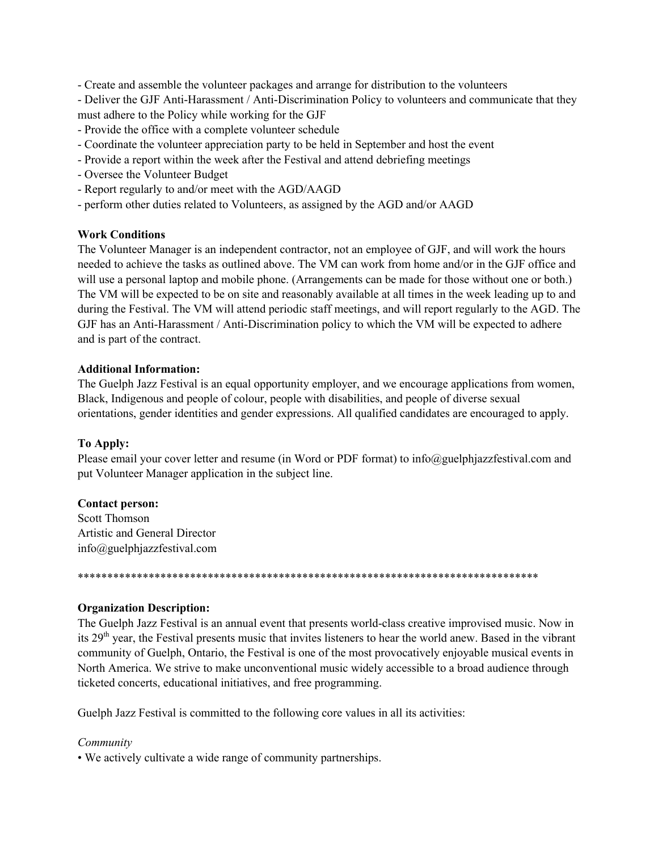- Create and assemble the volunteer packages and arrange for distribution to the volunteers

- Deliver the GJF Anti-Harassment / Anti-Discrimination Policy to volunteers and communicate that they must adhere to the Policy while working for the GJF

- Provide the office with a complete volunteer schedule
- Coordinate the volunteer appreciation party to be held in September and host the event
- Provide a report within the week after the Festival and attend debriefing meetings
- Oversee the Volunteer Budget
- Report regularly to and/or meet with the AGD/AAGD
- perform other duties related to Volunteers, as assigned by the AGD and/or AAGD

## **Work Conditions**

The Volunteer Manager is an independent contractor, not an employee of GJF, and will work the hours needed to achieve the tasks as outlined above. The VM can work from home and/or in the GJF office and will use a personal laptop and mobile phone. (Arrangements can be made for those without one or both.) The VM will be expected to be on site and reasonably available at all times in the week leading up to and during the Festival. The VM will attend periodic staff meetings, and will report regularly to the AGD. The GJF has an Anti-Harassment / Anti-Discrimination policy to which the VM will be expected to adhere and is part of the contract.

## **Additional Information:**

The Guelph Jazz Festival is an equal opportunity employer, and we encourage applications from women, Black, Indigenous and people of colour, people with disabilities, and people of diverse sexual orientations, gender identities and gender expressions. All qualified candidates are encouraged to apply.

## To Apply:

Please email your cover letter and resume (in Word or PDF format) to info@guelphjazzfestival.com and put Volunteer Manager application in the subject line.

## **Contact person:**

Scott Thomson Artistic and General Director info@guelphjazzfestival.com

## **Organization Description:**

The Guelph Jazz Festival is an annual event that presents world-class creative improvised music. Now in its 29<sup>th</sup> year, the Festival presents music that invites listeners to hear the world anew. Based in the vibrant community of Guelph, Ontario, the Festival is one of the most provocatively enjoyable musical events in North America. We strive to make unconventional music widely accessible to a broad audience through ticketed concerts, educational initiatives, and free programming.

Guelph Jazz Festival is committed to the following core values in all its activities:

## Community

• We actively cultivate a wide range of community partnerships.